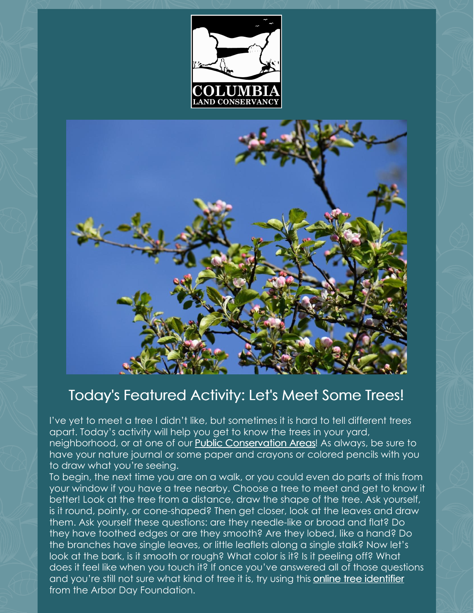



## Today's Featured Activity: Let's Meet Some Trees!

I've yet to meet a tree I didn't like, but sometimes it is hard to tell different trees apart. Today's activity will help you get to know the trees in your yard, neighborhood, or at one of our Public [Conservation](https://clctrust.org/public-conservation-areas/about-our-sites/) Areas! As always, be sure to have your nature journal or some paper and crayons or colored pencils with you to draw what you're seeing.

To begin, the next time you are on a walk, or you could even do parts of this from your window if you have a tree nearby. Choose a tree to meet and get to know it better! Look at the tree from a distance, draw the shape of the tree. Ask yourself, is it round, pointy, or cone-shaped? Then get closer, look at the leaves and draw them. Ask yourself these questions: are they needle-like or broad and flat? Do they have toothed edges or are they smooth? Are they lobed, like a hand? Do the branches have single leaves, or little leaflets along a single stalk? Now let's look at the bark, is it smooth or rough? What color is it? Is it peeling off? What does it feel like when you touch it? If once you've answered all of those questions and you're still not sure what kind of tree it is, try using this online tree [identifier](https://www.arborday.org/trees/whattree/whatTree.cfm?ItemID=E6A) from the Arbor Day Foundation.